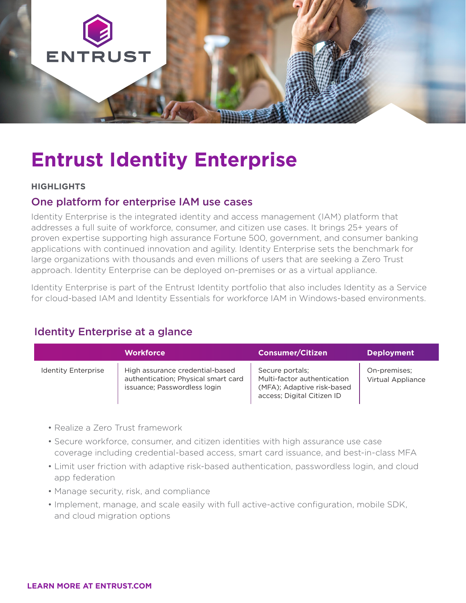

# **Entrust Identity Enterprise**

#### **HIGHLIGHTS**

# One platform for enterprise IAM use cases

Identity Enterprise is the integrated identity and access management (IAM) platform that addresses a full suite of workforce, consumer, and citizen use cases. It brings 25+ years of proven expertise supporting high assurance Fortune 500, government, and consumer banking applications with continued innovation and agility. Identity Enterprise sets the benchmark for large organizations with thousands and even millions of users that are seeking a Zero Trust approach. Identity Enterprise can be deployed on-premises or as a virtual appliance.

Identity Enterprise is part of the Entrust Identity portfolio that also includes Identity as a Service for cloud-based IAM and Identity Essentials for workforce IAM in Windows-based environments.

# Identity Enterprise at a glance

|                            | <b>Workforce</b>                                                                                       | <b>Consumer/Citizen</b>                                                                                    | <b>Deployment</b>                 |
|----------------------------|--------------------------------------------------------------------------------------------------------|------------------------------------------------------------------------------------------------------------|-----------------------------------|
| <b>Identity Enterprise</b> | High assurance credential-based<br>authentication; Physical smart card<br>issuance; Passwordless login | Secure portals;<br>Multi-factor authentication<br>(MFA); Adaptive risk-based<br>access; Digital Citizen ID | On-premises;<br>Virtual Appliance |

- Realize a Zero Trust framework
- Secure workforce, consumer, and citizen identities with high assurance use case coverage including credential-based access, smart card issuance, and best-in-class MFA
- Limit user friction with adaptive risk-based authentication, passwordless login, and cloud app federation
- Manage security, risk, and compliance
- Implement, manage, and scale easily with full active-active configuration, mobile SDK, and cloud migration options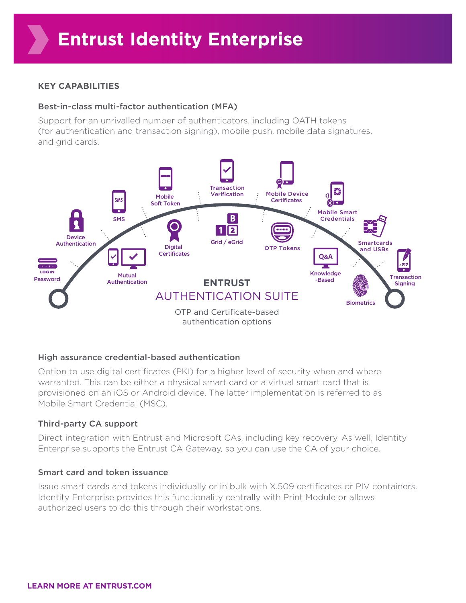# **KEY CAPABILITIES**

# Best-in-class multi-factor authentication (MFA)

Support for an unrivalled number of authenticators, including OATH tokens (for authentication and transaction signing), mobile push, mobile data signatures, and grid cards.



# High assurance credential-based authentication

Option to use digital certificates (PKI) for a higher level of security when and where warranted. This can be either a physical smart card or a virtual smart card that is provisioned on an iOS or Android device. The latter implementation is referred to as Mobile Smart Credential (MSC).

# Third-party CA support

Direct integration with Entrust and Microsoft CAs, including key recovery. As well, Identity Enterprise supports the Entrust CA Gateway, so you can use the CA of your choice.

# Smart card and token issuance

Issue smart cards and tokens individually or in bulk with X.509 certificates or PIV containers. Identity Enterprise provides this functionality centrally with Print Module or allows authorized users to do this through their workstations.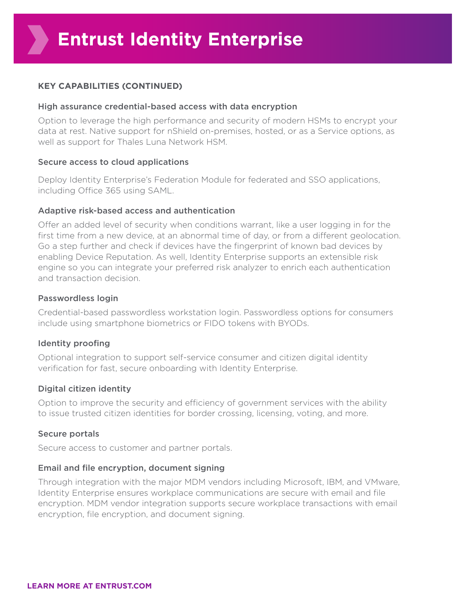# **KEY CAPABILITIES (CONTINUED)**

#### High assurance credential-based access with data encryption

Option to leverage the high performance and security of modern HSMs to encrypt your data at rest. Native support for nShield on-premises, hosted, or as a Service options, as well as support for Thales Luna Network HSM.

#### Secure access to cloud applications

Deploy Identity Enterprise's Federation Module for federated and SSO applications, including Office 365 using SAML.

#### Adaptive risk-based access and authentication

Offer an added level of security when conditions warrant, like a user logging in for the first time from a new device, at an abnormal time of day, or from a different geolocation. Go a step further and check if devices have the fingerprint of known bad devices by enabling Device Reputation. As well, Identity Enterprise supports an extensible risk engine so you can integrate your preferred risk analyzer to enrich each authentication and transaction decision.

#### Passwordless login

Credential-based passwordless workstation login. Passwordless options for consumers include using smartphone biometrics or FIDO tokens with BYODs.

# Identity proofing

Optional integration to support self-service consumer and citizen digital identity verification for fast, secure onboarding with Identity Enterprise.

# Digital citizen identity

Option to improve the security and efficiency of government services with the ability to issue trusted citizen identities for border crossing, licensing, voting, and more.

# Secure portals

Secure access to customer and partner portals.

#### Email and file encryption, document signing

Through integration with the major MDM vendors including Microsoft, IBM, and VMware, Identity Enterprise ensures workplace communications are secure with email and file encryption. MDM vendor integration supports secure workplace transactions with email encryption, file encryption, and document signing.